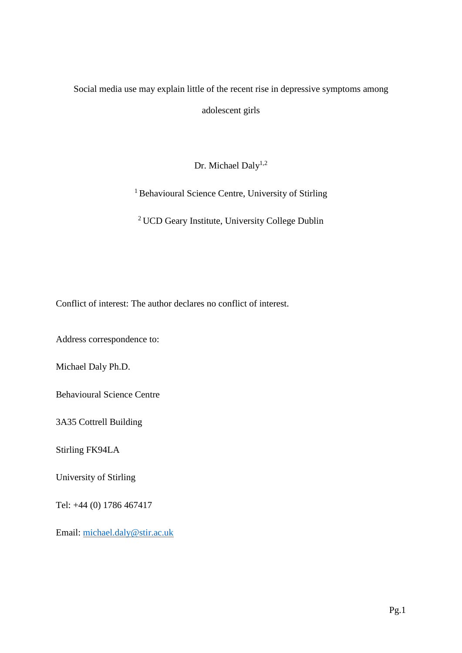## Social media use may explain little of the recent rise in depressive symptoms among

adolescent girls

Dr. Michael Daly<sup>1,2</sup>

<sup>1</sup> Behavioural Science Centre, University of Stirling

<sup>2</sup> UCD Geary Institute, University College Dublin

Conflict of interest: The author declares no conflict of interest.

Address correspondence to:

Michael Daly Ph.D.

Behavioural Science Centre

3A35 Cottrell Building

Stirling FK94LA

University of Stirling

Tel: +44 (0) 1786 467417

Email: [michael.daly@stir.ac.uk](mailto:michael.daly@stir.ac.uk)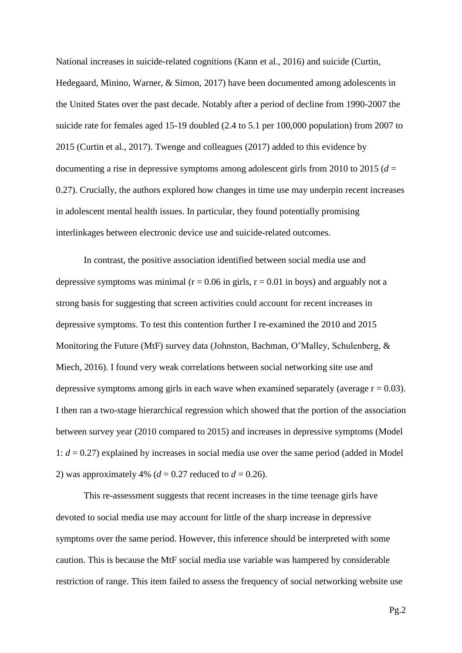National increases in suicide-related cognitions (Kann et al., 2016) and suicide (Curtin, Hedegaard, Minino, Warner, & Simon, 2017) have been documented among adolescents in the United States over the past decade. Notably after a period of decline from 1990-2007 the suicide rate for females aged 15-19 doubled (2.4 to 5.1 per 100,000 population) from 2007 to 2015 (Curtin et al., 2017). Twenge and colleagues (2017) added to this evidence by documenting a rise in depressive symptoms among adolescent girls from 2010 to 2015 (*d* = 0.27). Crucially, the authors explored how changes in time use may underpin recent increases in adolescent mental health issues. In particular, they found potentially promising interlinkages between electronic device use and suicide-related outcomes.

In contrast, the positive association identified between social media use and depressive symptoms was minimal ( $r = 0.06$  in girls,  $r = 0.01$  in boys) and arguably not a strong basis for suggesting that screen activities could account for recent increases in depressive symptoms. To test this contention further I re-examined the 2010 and 2015 Monitoring the Future (MtF) survey data (Johnston, Bachman, O'Malley, Schulenberg, & Miech, 2016). I found very weak correlations between social networking site use and depressive symptoms among girls in each wave when examined separately (average  $r = 0.03$ ). I then ran a two-stage hierarchical regression which showed that the portion of the association between survey year (2010 compared to 2015) and increases in depressive symptoms (Model 1: *d* = 0.27) explained by increases in social media use over the same period (added in Model 2) was approximately 4% ( $d = 0.27$  reduced to  $d = 0.26$ ).

This re-assessment suggests that recent increases in the time teenage girls have devoted to social media use may account for little of the sharp increase in depressive symptoms over the same period. However, this inference should be interpreted with some caution. This is because the MtF social media use variable was hampered by considerable restriction of range. This item failed to assess the frequency of social networking website use